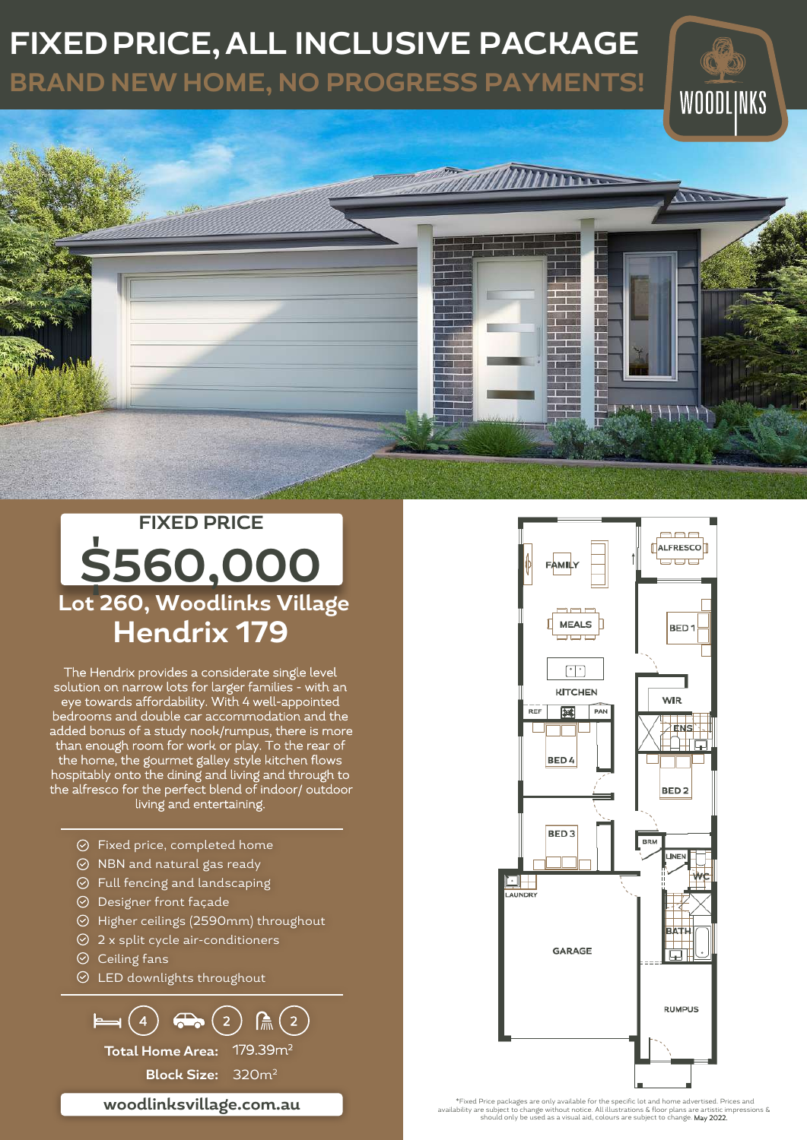## **FIXED PRICE, ALL INCLUSIVE PACKAGE**

**BRAND NEW HOME, NO PROGRESS PAYMENTS!**





The Hendrix provides a considerate single level solution on narrow lots for larger families - with an eye towards affordability. With 4 well-appointed bedrooms and double car accommodation and the added bonus of a study nook/rumpus, there is more than enough room for work or play. To the rear of the home, the gourmet galley style kitchen flows hospitably onto the dining and living and through to the alfresco for the perfect blend of indoor/ outdoor living and entertaining.

- Fixed price, completed home
- $\odot$  NBN and natural gas ready
- $\odot$  Full fencing and landscaping
- $\odot$  Designer front façade
- Higher ceilings (2590mm) throughout
- $\odot$  2 x split cycle air-conditioners
- $\odot$  Ceiling fans
- $\odot$  LED downlights throughout

**Total Home Area:** 179.39m<sup>2</sup> **Block Size:** 320m<sup>2</sup>  $\mapsto$  (4)  $\Leftrightarrow$  (2)  $\mathbb{A}(2)$ 

**woodlinksvillage.com.au**

E **ALFRESCOT** FAMILY  $\blacksquare \blacksquare \blacksquare$ MEALS 1 BED<sub>1</sub> **KITCHEN WIR**  $REF$ 一度 PAN ENS ▁ BED<sub>4</sub> BED<sub>2</sub> BED<sub>3</sub> Ùu.  $\Box$ AUNDR' GARAGE **RUMPUS** 

\*Fixed Price packages are only available for the specific lot and home advertised. Prices and<br>availability are subject to change without notice. All illustrations & floor plans are artistic impressions &<br>should only be use